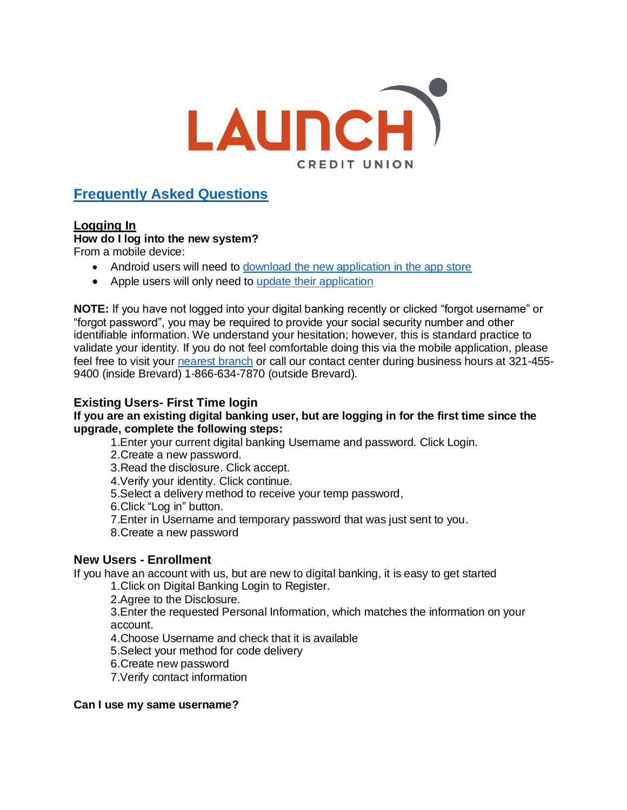

# **Frequently Asked Questions**

## **Logging In**

## **How do I log into the new system?**

From a mobile device:

- Android users will need to [download the new application in the app store](https://play.google.com/store/apps/details?id=com.launchcu.launchcu)
- Apple users will only need to [update their application](https://apps.apple.com/us/app/launch-credit-union/id1260608773)

**NOTE:** If you have not logged into your digital banking recently or clicked "forgot username" or "forgot password", you may be required to provide your social security number and other identifiable information. We understand your hesitation; however, this is standard practice to validate your identity. If you do not feel comfortable doing this via the mobile application, please feel free to visit your [nearest](https://www.launchcu.com/go-beyond/locations/) branch or call our contact center during business hours at 321-455- 9400 (inside Brevard) 1-866-634-7870 (outside Brevard).

## **Existing Users- First Time login**

## **If you are an existing digital banking user, but are logging in for the first time since the upgrade, complete the following steps:**

1.Enter your current digital banking Username and password. Click Login.

2.Create a new password.

3.Read the disclosure. Click accept.

4.Verify your identity. Click continue.

5.Select a delivery method to receive your temp password,

6.Click "Log in" button.

7.Enter in Username and temporary password that was just sent to you.

8.Create a new password

## **New Users - Enrollment**

If you have an account with us, but are new to digital banking, it is easy to get started

1.Click on Digital Banking Login to Register.

2.Agree to the Disclosure.

3.Enter the requested Personal Information, which matches the information on your account.

4.Choose Username and check that it is available

5.Select your method for code delivery

6.Create new password

7.Verify contact information

#### **Can I use my same username?**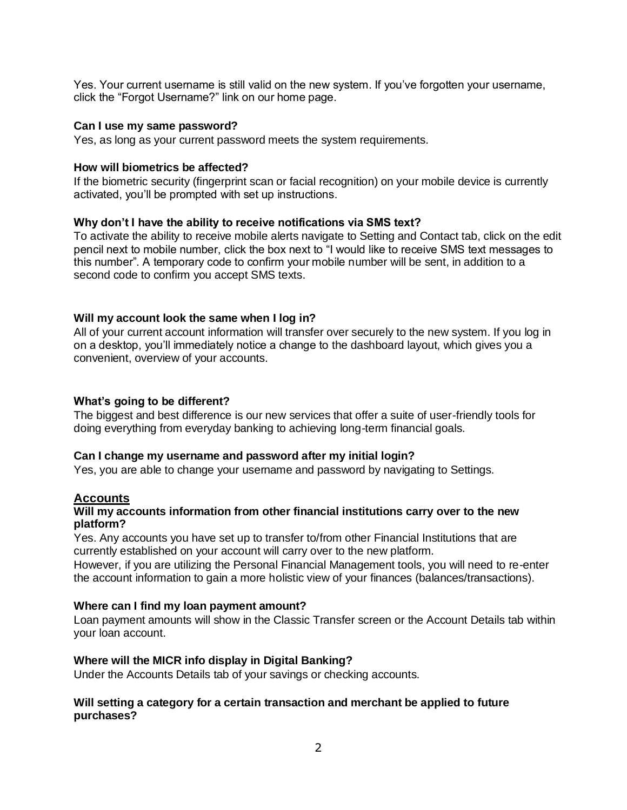Yes. Your current username is still valid on the new system. If you've forgotten your username, click the "Forgot Username?" link on our home page.

#### **Can I use my same password?**

Yes, as long as your current password meets the system requirements.

#### **How will biometrics be affected?**

If the biometric security (fingerprint scan or facial recognition) on your mobile device is currently activated, you'll be prompted with set up instructions.

### **Why don't I have the ability to receive notifications via SMS text?**

To activate the ability to receive mobile alerts navigate to Setting and Contact tab, click on the edit pencil next to mobile number, click the box next to "I would like to receive SMS text messages to this number". A temporary code to confirm your mobile number will be sent, in addition to a second code to confirm you accept SMS texts.

#### **Will my account look the same when I log in?**

All of your current account information will transfer over securely to the new system. If you log in on a desktop, you'll immediately notice a change to the dashboard layout, which gives you a convenient, overview of your accounts.

#### **What's going to be different?**

The biggest and best difference is our new services that offer a suite of user-friendly tools for doing everything from everyday banking to achieving long-term financial goals.

#### **Can I change my username and password after my initial login?**

Yes, you are able to change your username and password by navigating to Settings.

#### **Accounts**

#### **Will my accounts information from other financial institutions carry over to the new platform?**

Yes. Any accounts you have set up to transfer to/from other Financial Institutions that are currently established on your account will carry over to the new platform.

However, if you are utilizing the Personal Financial Management tools, you will need to re-enter the account information to gain a more holistic view of your finances (balances/transactions).

#### **Where can I find my loan payment amount?**

Loan payment amounts will show in the Classic Transfer screen or the Account Details tab within your loan account.

#### **Where will the MICR info display in Digital Banking?**

Under the Accounts Details tab of your savings or checking accounts.

#### **Will setting a category for a certain transaction and merchant be applied to future purchases?**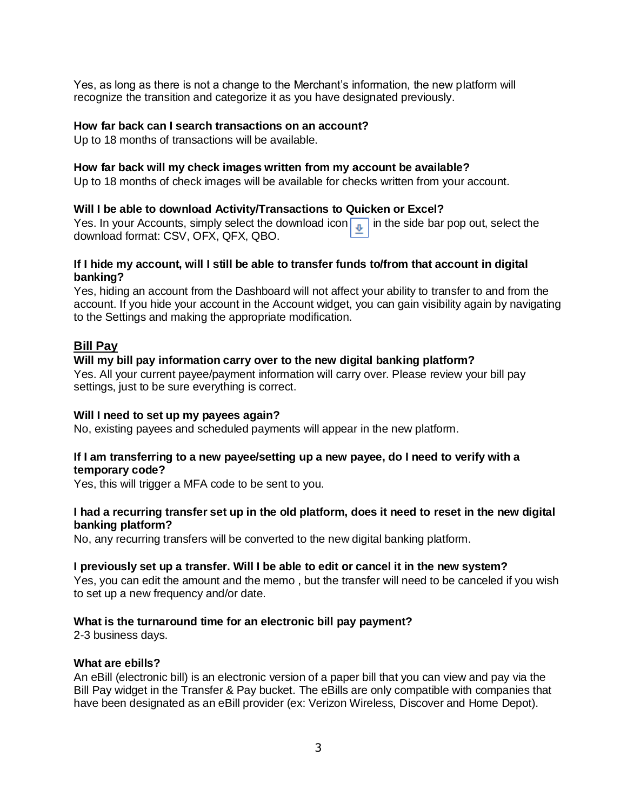Yes, as long as there is not a change to the Merchant's information, the new platform will recognize the transition and categorize it as you have designated previously.

#### **How far back can I search transactions on an account?**

Up to 18 months of transactions will be available.

#### **How far back will my check images written from my account be available?**

Up to 18 months of check images will be available for checks written from your account.

#### **Will I be able to download Activity/Transactions to Quicken or Excel?**

Yes. In your Accounts, simply select the download icon  $\boxed{1}$  in the side bar pop out, select the download format: CSV, OFX, QFX, QBO.

### **If I hide my account, will I still be able to transfer funds to/from that account in digital banking?**

Yes, hiding an account from the Dashboard will not affect your ability to transfer to and from the account. If you hide your account in the Account widget, you can gain visibility again by navigating to the Settings and making the appropriate modification.

#### **Bill Pay**

#### **Will my bill pay information carry over to the new digital banking platform?**

Yes. All your current payee/payment information will carry over. Please review your bill pay settings, just to be sure everything is correct.

#### **Will I need to set up my payees again?**

No, existing payees and scheduled payments will appear in the new platform.

#### **If I am transferring to a new payee/setting up a new payee, do I need to verify with a temporary code?**

Yes, this will trigger a MFA code to be sent to you.

### **I had a recurring transfer set up in the old platform, does it need to reset in the new digital banking platform?**

No, any recurring transfers will be converted to the new digital banking platform.

#### **I previously set up a transfer. Will I be able to edit or cancel it in the new system?**

Yes, you can edit the amount and the memo , but the transfer will need to be canceled if you wish to set up a new frequency and/or date.

#### **What is the turnaround time for an electronic bill pay payment?**

2-3 business days.

#### **What are ebills?**

An eBill (electronic bill) is an electronic version of a paper bill that you can view and pay via the Bill Pay widget in the Transfer & Pay bucket. The eBills are only compatible with companies that have been designated as an eBill provider (ex: Verizon Wireless, Discover and Home Depot).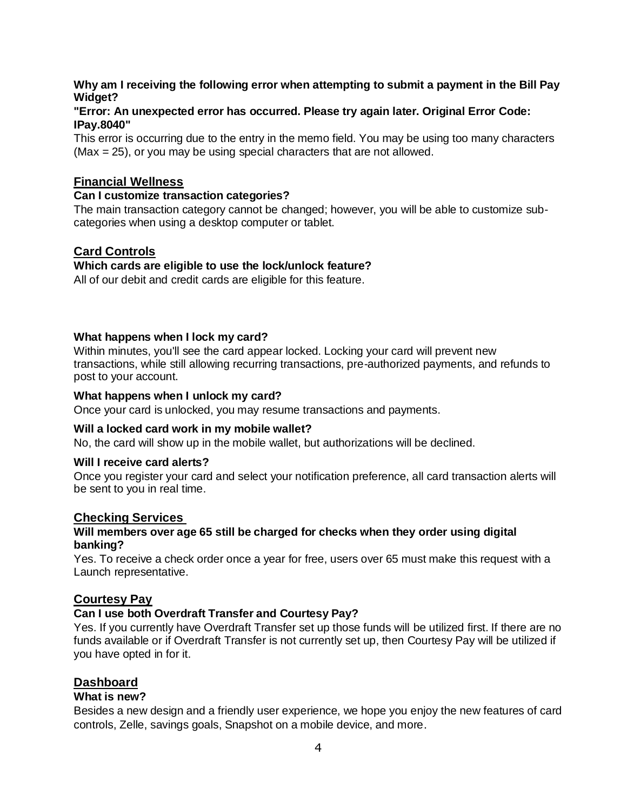## **Why am I receiving the following error when attempting to submit a payment in the Bill Pay Widget?**

### **"Error: An unexpected error has occurred. Please try again later. Original Error Code: IPay.8040"**

This error is occurring due to the entry in the memo field. You may be using too many characters (Max = 25), or you may be using special characters that are not allowed.

## **Financial Wellness**

### **Can I customize transaction categories?**

The main transaction category cannot be changed; however, you will be able to customize subcategories when using a desktop computer or tablet.

## **Card Controls**

## **Which cards are eligible to use the lock/unlock feature?**

All of our debit and credit cards are eligible for this feature.

### **What happens when I lock my card?**

Within minutes, you'll see the card appear locked. Locking your card will prevent new transactions, while still allowing recurring transactions, pre-authorized payments, and refunds to post to your account.

### **What happens when I unlock my card?**

Once your card is unlocked, you may resume transactions and payments.

#### **Will a locked card work in my mobile wallet?**

No, the card will show up in the mobile wallet, but authorizations will be declined.

#### **Will I receive card alerts?**

Once you register your card and select your notification preference, all card transaction alerts will be sent to you in real time.

## **Checking Services**

### **Will members over age 65 still be charged for checks when they order using digital banking?**

Yes. To receive a check order once a year for free, users over 65 must make this request with a Launch representative.

## **Courtesy Pay**

## **Can I use both Overdraft Transfer and Courtesy Pay?**

Yes. If you currently have Overdraft Transfer set up those funds will be utilized first. If there are no funds available or if Overdraft Transfer is not currently set up, then Courtesy Pay will be utilized if you have opted in for it.

## **Dashboard**

#### **What is new?**

Besides a new design and a friendly user experience, we hope you enjoy the new features of card controls, Zelle, savings goals, Snapshot on a mobile device, and more.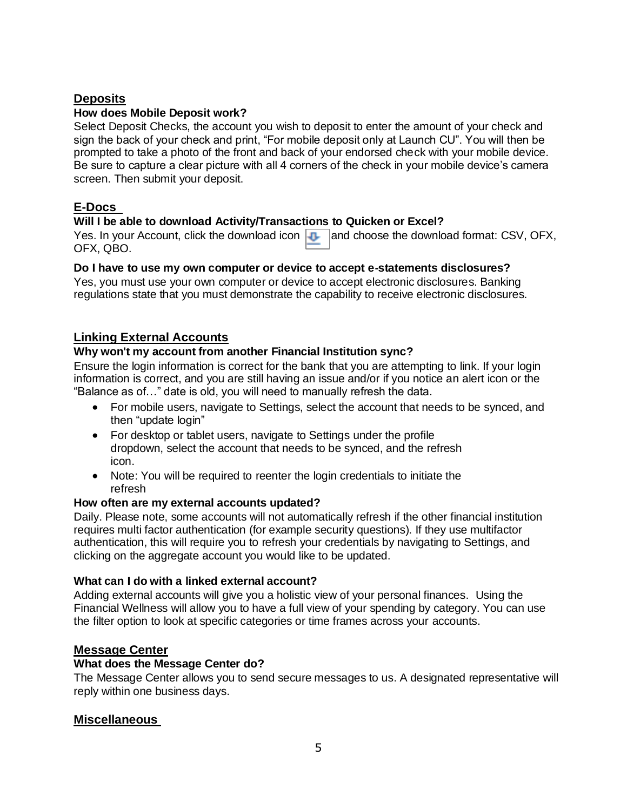## **Deposits**

## **How does Mobile Deposit work?**

Select Deposit Checks, the account you wish to deposit to enter the amount of your check and sign the back of your check and print, "For mobile deposit only at Launch CU". You will then be prompted to take a photo of the front and back of your endorsed check with your mobile device. Be sure to capture a clear picture with all 4 corners of the check in your mobile device's camera screen. Then submit your deposit.

## **E-Docs**

## **Will I be able to download Activity/Transactions to Quicken or Excel?**

Yes. In your Account, click the download icon  $\Box$  and choose the download format: CSV, OFX, OFX, QBO.

## **Do I have to use my own computer or device to accept e-statements disclosures?**

Yes, you must use your own computer or device to accept electronic disclosures. Banking regulations state that you must demonstrate the capability to receive electronic disclosures.

## **Linking External Accounts**

## **Why won't my account from another Financial Institution sync?**

Ensure the login information is correct for the bank that you are attempting to link. If your login information is correct, and you are still having an issue and/or if you notice an alert icon or the "Balance as of…" date is old, you will need to manually refresh the data.

- For mobile users, navigate to Settings, select the account that needs to be synced, and then "update login"
- For desktop or tablet users, navigate to Settings under the profile dropdown, select the account that needs to be synced, and the refresh icon.
- Note: You will be required to reenter the login credentials to initiate the refresh

## **How often are my external accounts updated?**

Daily. Please note, some accounts will not automatically refresh if the other financial institution requires multi factor authentication (for example security questions). If they use multifactor authentication, this will require you to refresh your credentials by navigating to Settings, and clicking on the aggregate account you would like to be updated.

## **What can I do with a linked external account?**

Adding external accounts will give you a holistic view of your personal finances. Using the Financial Wellness will allow you to have a full view of your spending by category. You can use the filter option to look at specific categories or time frames across your accounts.

## **Message Center**

## **What does the Message Center do?**

The Message Center allows you to send secure messages to us. A designated representative will reply within one business days.

## **Miscellaneous**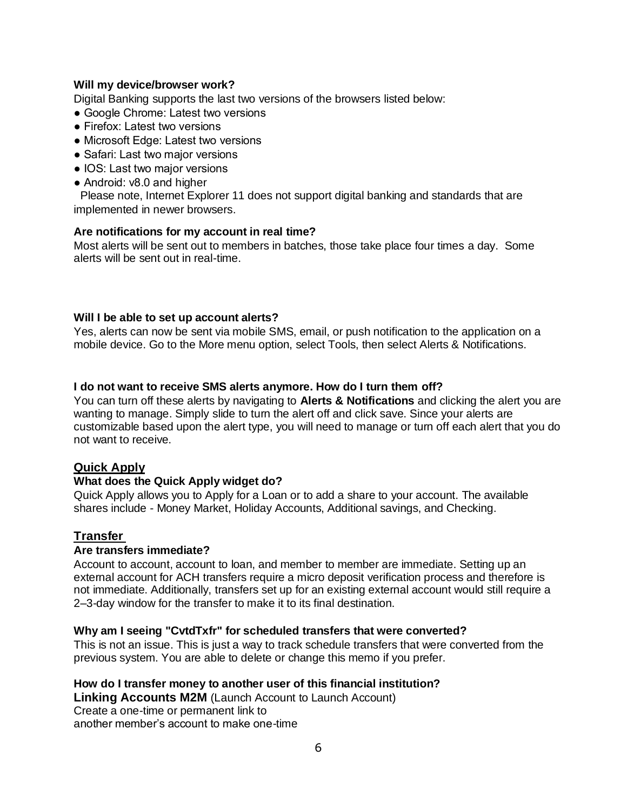## **Will my device/browser work?**

Digital Banking supports the last two versions of the browsers listed below:

- Google Chrome: Latest two versions
- Firefox: Latest two versions
- Microsoft Edge: Latest two versions
- Safari: Last two major versions
- IOS: Last two major versions
- Android: v8.0 and higher

 Please note, Internet Explorer 11 does not support digital banking and standards that are implemented in newer browsers.

### **Are notifications for my account in real time?**

Most alerts will be sent out to members in batches, those take place four times a day. Some alerts will be sent out in real-time.

### **Will I be able to set up account alerts?**

Yes, alerts can now be sent via mobile SMS, email, or push notification to the application on a mobile device. Go to the More menu option, select Tools, then select Alerts & Notifications.

### **I do not want to receive SMS alerts anymore. How do I turn them off?**

You can turn off these alerts by navigating to **Alerts & Notifications** and clicking the alert you are wanting to manage. Simply slide to turn the alert off and click save. Since your alerts are customizable based upon the alert type, you will need to manage or turn off each alert that you do not want to receive.

## **Quick Apply**

#### **What does the Quick Apply widget do?**

Quick Apply allows you to Apply for a Loan or to add a share to your account. The available shares include - Money Market, Holiday Accounts, Additional savings, and Checking.

## **Transfer**

#### **Are transfers immediate?**

Account to account, account to loan, and member to member are immediate. Setting up an external account for ACH transfers require a micro deposit verification process and therefore is not immediate. Additionally, transfers set up for an existing external account would still require a 2–3-day window for the transfer to make it to its final destination.

#### **Why am I seeing "CvtdTxfr" for scheduled transfers that were converted?**

This is not an issue. This is just a way to track schedule transfers that were converted from the previous system. You are able to delete or change this memo if you prefer.

### **How do I transfer money to another user of this financial institution?**

**Linking Accounts M2M** (Launch Account to Launch Account) Create a one-time or permanent link to another member's account to make one-time